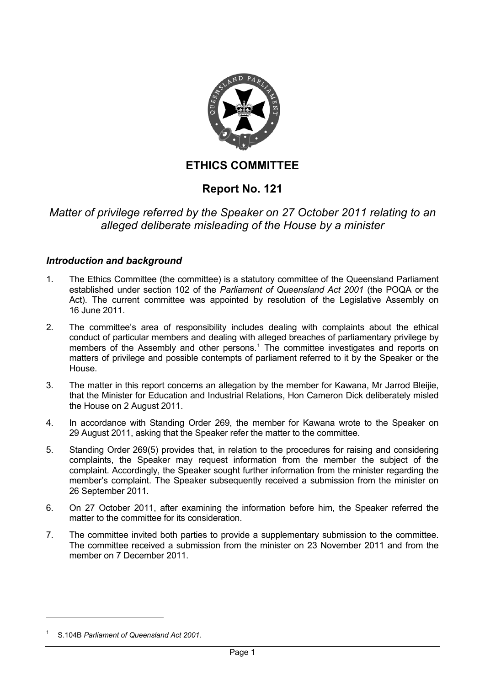

# **ETHICS COMMITTEE**

# **Report No. 121**

# *Matter of privilege referred by the Speaker on 27 October 2011 relating to an alleged deliberate misleading of the House by a minister*

## *Introduction and background*

- 1. The Ethics Committee (the committee) is a statutory committee of the Queensland Parliament established under section 102 of the *Parliament of Queensland Act 2001* (the POQA or the Act). The current committee was appointed by resolution of the Legislative Assembly on 16 June 2011.
- 2. The committee's area of responsibility includes dealing with complaints about the ethical conduct of particular members and dealing with alleged breaches of parliamentary privilege by members of the Assembly and other persons.<sup>[1](#page-0-0)</sup> The committee investigates and reports on matters of privilege and possible contempts of parliament referred to it by the Speaker or the House.
- 3. The matter in this report concerns an allegation by the member for Kawana, Mr Jarrod Bleijie, that the Minister for Education and Industrial Relations, Hon Cameron Dick deliberately misled the House on 2 August 2011.
- 4. In accordance with Standing Order 269, the member for Kawana wrote to the Speaker on 29 August 2011, asking that the Speaker refer the matter to the committee.
- 5. Standing Order 269(5) provides that, in relation to the procedures for raising and considering complaints, the Speaker may request information from the member the subject of the complaint. Accordingly, the Speaker sought further information from the minister regarding the member's complaint. The Speaker subsequently received a submission from the minister on 26 September 2011.
- 6. On 27 October 2011, after examining the information before him, the Speaker referred the matter to the committee for its consideration.
- 7. The committee invited both parties to provide a supplementary submission to the committee. The committee received a submission from the minister on 23 November 2011 and from the member on 7 December 2011.

<span id="page-0-0"></span><sup>1</sup> S.104B *Parliament of Queensland Act 2001.*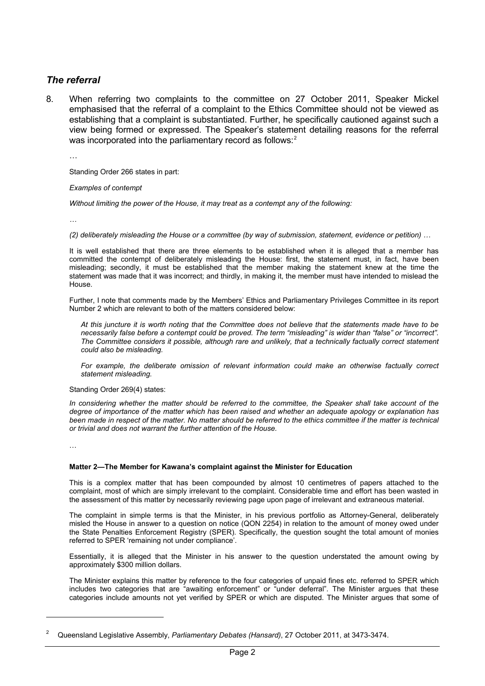## *The referral*

8. When referring two complaints to the committee on 27 October 2011, Speaker Mickel emphasised that the referral of a complaint to the Ethics Committee should not be viewed as establishing that a complaint is substantiated. Further, he specifically cautioned against such a view being formed or expressed. The Speaker's statement detailing reasons for the referral was incorporated into the parliamentary record as follows:<sup>[2](#page-1-0)</sup>

…

Standing Order 266 states in part:

*Examples of contempt* 

*Without limiting the power of the House, it may treat as a contempt any of the following:* 

*…* 

*(2) deliberately misleading the House or a committee (by way of submission, statement, evidence or petition) …* 

It is well established that there are three elements to be established when it is alleged that a member has committed the contempt of deliberately misleading the House: first, the statement must, in fact, have been misleading; secondly, it must be established that the member making the statement knew at the time the statement was made that it was incorrect; and thirdly, in making it, the member must have intended to mislead the House.

Further, I note that comments made by the Members' Ethics and Parliamentary Privileges Committee in its report Number 2 which are relevant to both of the matters considered below:

*At this juncture it is worth noting that the Committee does not believe that the statements made have to be necessarily false before a contempt could be proved. The term "misleading" is wider than "false" or "incorrect". The Committee considers it possible, although rare and unlikely, that a technically factually correct statement could also be misleading.* 

*For example, the deliberate omission of relevant information could make an otherwise factually correct statement misleading.* 

Standing Order 269(4) states:

*In considering whether the matter should be referred to the committee, the Speaker shall take account of the degree of importance of the matter which has been raised and whether an adequate apology or explanation has*  been made in respect of the matter. No matter should be referred to the ethics committee if the matter is technical *or trivial and does not warrant the further attention of the House.* 

…

#### **Matter 2—The Member for Kawana's complaint against the Minister for Education**

This is a complex matter that has been compounded by almost 10 centimetres of papers attached to the complaint, most of which are simply irrelevant to the complaint. Considerable time and effort has been wasted in the assessment of this matter by necessarily reviewing page upon page of irrelevant and extraneous material.

The complaint in simple terms is that the Minister, in his previous portfolio as Attorney-General, deliberately misled the House in answer to a question on notice (QON 2254) in relation to the amount of money owed under the State Penalties Enforcement Registry (SPER). Specifically, the question sought the total amount of monies referred to SPER 'remaining not under compliance'.

Essentially, it is alleged that the Minister in his answer to the question understated the amount owing by approximately \$300 million dollars.

The Minister explains this matter by reference to the four categories of unpaid fines etc. referred to SPER which includes two categories that are "awaiting enforcement" or "under deferral". The Minister argues that these categories include amounts not yet verified by SPER or which are disputed. The Minister argues that some of

<span id="page-1-0"></span><sup>2</sup> Queensland Legislative Assembly, *Parliamentary Debates (Hansard)*, 27 October 2011, at 3473-3474.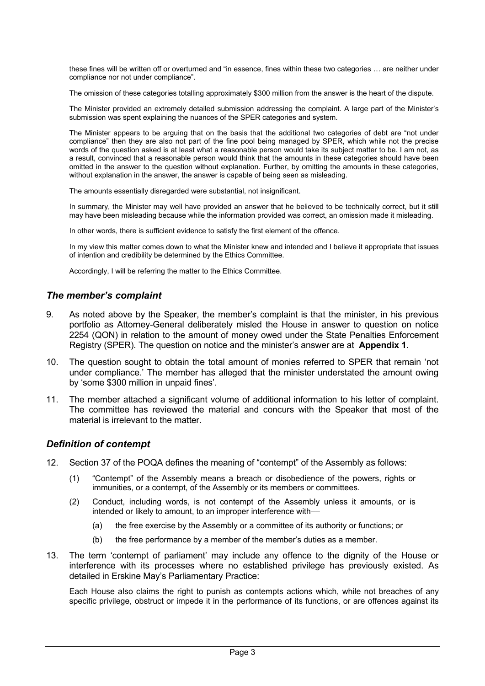these fines will be written off or overturned and "in essence, fines within these two categories … are neither under compliance nor not under compliance".

The omission of these categories totalling approximately \$300 million from the answer is the heart of the dispute.

The Minister provided an extremely detailed submission addressing the complaint. A large part of the Minister's submission was spent explaining the nuances of the SPER categories and system.

The Minister appears to be arguing that on the basis that the additional two categories of debt are "not under compliance" then they are also not part of the fine pool being managed by SPER, which while not the precise words of the question asked is at least what a reasonable person would take its subject matter to be. I am not, as a result, convinced that a reasonable person would think that the amounts in these categories should have been omitted in the answer to the question without explanation. Further, by omitting the amounts in these categories, without explanation in the answer, the answer is capable of being seen as misleading.

The amounts essentially disregarded were substantial, not insignificant.

In summary, the Minister may well have provided an answer that he believed to be technically correct, but it still may have been misleading because while the information provided was correct, an omission made it misleading.

In other words, there is sufficient evidence to satisfy the first element of the offence.

In my view this matter comes down to what the Minister knew and intended and I believe it appropriate that issues of intention and credibility be determined by the Ethics Committee.

Accordingly, I will be referring the matter to the Ethics Committee.

#### *The member's complaint*

- 9. As noted above by the Speaker, the member's complaint is that the minister, in his previous portfolio as Attorney-General deliberately misled the House in answer to question on notice 2254 (QON) in relation to the amount of money owed under the State Penalties Enforcement Registry (SPER). The question on notice and the minister's answer are at **Appendix 1**.
- 10. The question sought to obtain the total amount of monies referred to SPER that remain 'not under compliance.' The member has alleged that the minister understated the amount owing by 'some \$300 million in unpaid fines'.
- 11. The member attached a significant volume of additional information to his letter of complaint. The committee has reviewed the material and concurs with the Speaker that most of the material is irrelevant to the matter.

#### *Definition of contempt*

- 12. Section 37 of the POQA defines the meaning of "contempt" of the Assembly as follows:
	- (1) "Contempt" of the Assembly means a breach or disobedience of the powers, rights or immunities, or a contempt, of the Assembly or its members or committees.
	- (2) Conduct, including words, is not contempt of the Assembly unless it amounts, or is intended or likely to amount, to an improper interference with––
		- (a) the free exercise by the Assembly or a committee of its authority or functions; or
		- (b) the free performance by a member of the member's duties as a member.
- 13. The term 'contempt of parliament' may include any offence to the dignity of the House or interference with its processes where no established privilege has previously existed. As detailed in Erskine May's Parliamentary Practice:

Each House also claims the right to punish as contempts actions which, while not breaches of any specific privilege, obstruct or impede it in the performance of its functions, or are offences against its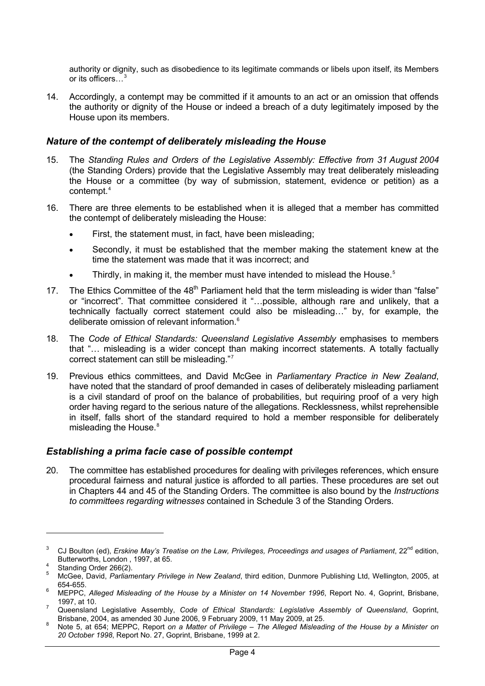authority or dignity, such as disobedience to its legitimate commands or libels upon itself, its Members or its officers...<sup>[3](#page-3-0)</sup>

14. Accordingly, a contempt may be committed if it amounts to an act or an omission that offends the authority or dignity of the House or indeed a breach of a duty legitimately imposed by the House upon its members.

#### *Nature of the contempt of deliberately misleading the House*

- 15. The *Standing Rules and Orders of the Legislative Assembly: Effective from 31 August 2004* (the Standing Orders) provide that the Legislative Assembly may treat deliberately misleading the House or a committee (by way of submission, statement, evidence or petition) as a contempt.[4](#page-3-1)
- 16. There are three elements to be established when it is alleged that a member has committed the contempt of deliberately misleading the House:
	- First, the statement must, in fact, have been misleading;
	- Secondly, it must be established that the member making the statement knew at the time the statement was made that it was incorrect; and
	- Thirdly, in making it, the member must have intended to mislead the House.<sup>[5](#page-3-2)</sup>
- 17. The Ethics Committee of the 48<sup>th</sup> Parliament held that the term misleading is wider than "false" or "incorrect". That committee considered it "…possible, although rare and unlikely, that a technically factually correct statement could also be misleading…" by, for example, the deliberate omission of relevant information.<sup>[6](#page-3-3)</sup>
- 18. The *Code of Ethical Standards: Queensland Legislative Assembly* emphasises to members that "… misleading is a wider concept than making incorrect statements. A totally factually correct statement can still be misleading."[7](#page-3-4)
- 19. Previous ethics committees, and David McGee in *Parliamentary Practice in New Zealand*, have noted that the standard of proof demanded in cases of deliberately misleading parliament is a civil standard of proof on the balance of probabilities, but requiring proof of a very high order having regard to the serious nature of the allegations. Recklessness, whilst reprehensible in itself, falls short of the standard required to hold a member responsible for deliberately misleading the House.<sup>[8](#page-3-5)</sup>

#### *Establishing a prima facie case of possible contempt*

20. The committee has established procedures for dealing with privileges references, which ensure procedural fairness and natural justice is afforded to all parties. These procedures are set out in Chapters 44 and 45 of the Standing Orders. The committee is also bound by the *Instructions to committees regarding witnesses* contained in Schedule 3 of the Standing Orders.

<span id="page-3-0"></span><sup>&</sup>lt;sup>3</sup> CJ Boulton (ed), *Erskine May's Treatise on the Law, Privileges, Proceedings and usages of Parliament, 22<sup>nd</sup> edition,* Butterworths, London, 1997, at 65.

<span id="page-3-1"></span>Standing Order 266(2).  $\frac{1}{5}$ 

<span id="page-3-2"></span>McGee, David, *Parliamentary Privilege in New Zealand*, third edition, Dunmore Publishing Ltd, Wellington, 2005, at 654-655. 6

<span id="page-3-3"></span>MEPPC, *Alleged Misleading of the House by a Minister on 14 November 1996*, Report No. 4, Goprint, Brisbane, 1997, at 10. 7

<span id="page-3-4"></span>Queensland Legislative Assembly, *Code of Ethical Standards: Legislative Assembly of Queensland*, Goprint,

<span id="page-3-5"></span>Note 5, at 654; MEPPC, Report on a Matter of Privilege – The Alleged Misleading of the House by a Minister on *20 October 1998*, Report No. 27, Goprint, Brisbane, 1999 at 2.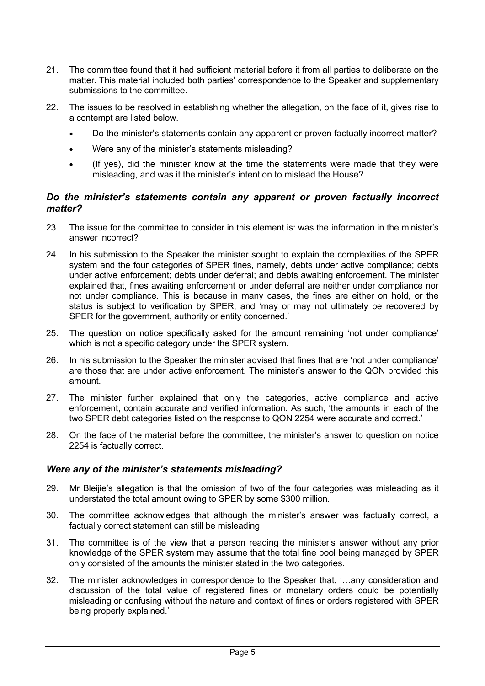- 21. The committee found that it had sufficient material before it from all parties to deliberate on the matter. This material included both parties' correspondence to the Speaker and supplementary submissions to the committee.
- 22. The issues to be resolved in establishing whether the allegation, on the face of it, gives rise to a contempt are listed below.
	- Do the minister's statements contain any apparent or proven factually incorrect matter?
	- Were any of the minister's statements misleading?
	- (If yes), did the minister know at the time the statements were made that they were misleading, and was it the minister's intention to mislead the House?

### *Do the minister's statements contain any apparent or proven factually incorrect matter?*

- 23. The issue for the committee to consider in this element is: was the information in the minister's answer incorrect?
- 24. In his submission to the Speaker the minister sought to explain the complexities of the SPER system and the four categories of SPER fines, namely, debts under active compliance; debts under active enforcement; debts under deferral; and debts awaiting enforcement. The minister explained that, fines awaiting enforcement or under deferral are neither under compliance nor not under compliance. This is because in many cases, the fines are either on hold, or the status is subject to verification by SPER, and 'may or may not ultimately be recovered by SPER for the government, authority or entity concerned.'
- 25. The question on notice specifically asked for the amount remaining 'not under compliance' which is not a specific category under the SPER system.
- 26. In his submission to the Speaker the minister advised that fines that are 'not under compliance' are those that are under active enforcement. The minister's answer to the QON provided this amount.
- 27. The minister further explained that only the categories, active compliance and active enforcement, contain accurate and verified information. As such, 'the amounts in each of the two SPER debt categories listed on the response to QON 2254 were accurate and correct.'
- 28. On the face of the material before the committee, the minister's answer to question on notice 2254 is factually correct.

#### *Were any of the minister's statements misleading?*

- 29. Mr Bleijie's allegation is that the omission of two of the four categories was misleading as it understated the total amount owing to SPER by some \$300 million.
- 30. The committee acknowledges that although the minister's answer was factually correct, a factually correct statement can still be misleading.
- 31. The committee is of the view that a person reading the minister's answer without any prior knowledge of the SPER system may assume that the total fine pool being managed by SPER only consisted of the amounts the minister stated in the two categories.
- 32. The minister acknowledges in correspondence to the Speaker that, '…any consideration and discussion of the total value of registered fines or monetary orders could be potentially misleading or confusing without the nature and context of fines or orders registered with SPER being properly explained.'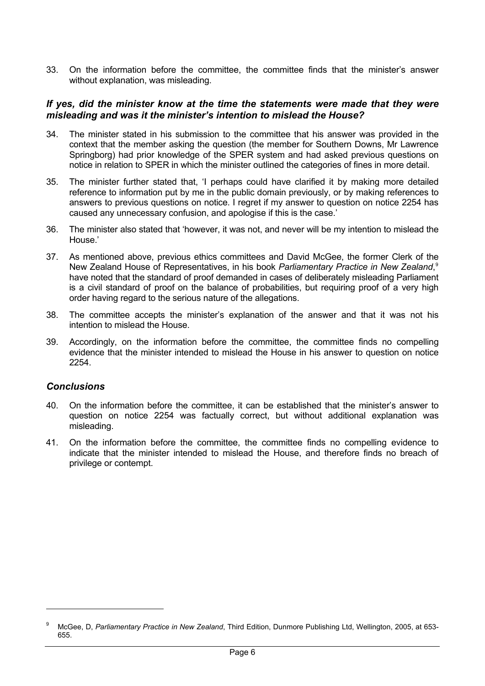33. On the information before the committee, the committee finds that the minister's answer without explanation, was misleading.

#### *If yes, did the minister know at the time the statements were made that they were misleading and was it the minister's intention to mislead the House?*

- 34. The minister stated in his submission to the committee that his answer was provided in the context that the member asking the question (the member for Southern Downs, Mr Lawrence Springborg) had prior knowledge of the SPER system and had asked previous questions on notice in relation to SPER in which the minister outlined the categories of fines in more detail.
- 35. The minister further stated that, 'I perhaps could have clarified it by making more detailed reference to information put by me in the public domain previously, or by making references to answers to previous questions on notice. I regret if my answer to question on notice 2254 has caused any unnecessary confusion, and apologise if this is the case.'
- 36. The minister also stated that 'however, it was not, and never will be my intention to mislead the House.'
- 37. As mentioned above, previous ethics committees and David McGee, the former Clerk of the New Zealand House of Representatives, in his book *Parliamentary Practice in New Zealand*, [9](#page-5-0) have noted that the standard of proof demanded in cases of deliberately misleading Parliament is a civil standard of proof on the balance of probabilities, but requiring proof of a very high order having regard to the serious nature of the allegations.
- 38. The committee accepts the minister's explanation of the answer and that it was not his intention to mislead the House.
- 39. Accordingly, on the information before the committee, the committee finds no compelling evidence that the minister intended to mislead the House in his answer to question on notice 2254.

#### *Conclusions*

- 40. On the information before the committee, it can be established that the minister's answer to question on notice 2254 was factually correct, but without additional explanation was misleading.
- 41. On the information before the committee, the committee finds no compelling evidence to indicate that the minister intended to mislead the House, and therefore finds no breach of privilege or contempt.

<span id="page-5-0"></span><sup>9</sup> McGee, D, *Parliamentary Practice in New Zealand*, Third Edition, Dunmore Publishing Ltd, Wellington, 2005, at 653- 655.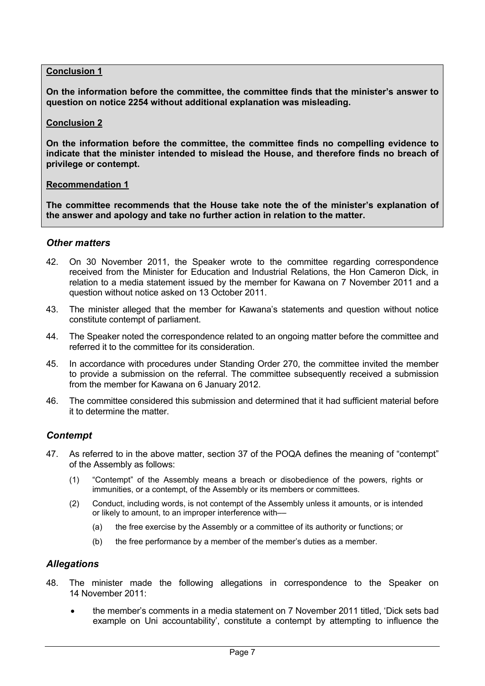### **Conclusion 1**

**On the information before the committee, the committee finds that the minister's answer to question on notice 2254 without additional explanation was misleading.** 

#### **Conclusion 2**

**On the information before the committee, the committee finds no compelling evidence to indicate that the minister intended to mislead the House, and therefore finds no breach of privilege or contempt.** 

#### **Recommendation 1**

**The committee recommends that the House take note the of the minister's explanation of the answer and apology and take no further action in relation to the matter.** 

#### *Other matters*

- 42. On 30 November 2011, the Speaker wrote to the committee regarding correspondence received from the Minister for Education and Industrial Relations, the Hon Cameron Dick, in relation to a media statement issued by the member for Kawana on 7 November 2011 and a question without notice asked on 13 October 2011.
- 43. The minister alleged that the member for Kawana's statements and question without notice constitute contempt of parliament.
- 44. The Speaker noted the correspondence related to an ongoing matter before the committee and referred it to the committee for its consideration.
- 45. In accordance with procedures under Standing Order 270, the committee invited the member to provide a submission on the referral. The committee subsequently received a submission from the member for Kawana on 6 January 2012.
- 46. The committee considered this submission and determined that it had sufficient material before it to determine the matter.

## *Contempt*

- 47. As referred to in the above matter, section 37 of the POQA defines the meaning of "contempt" of the Assembly as follows:
	- (1) "Contempt" of the Assembly means a breach or disobedience of the powers, rights or immunities, or a contempt, of the Assembly or its members or committees.
	- (2) Conduct, including words, is not contempt of the Assembly unless it amounts, or is intended or likely to amount, to an improper interference with––
		- (a) the free exercise by the Assembly or a committee of its authority or functions; or
		- (b) the free performance by a member of the member's duties as a member.

## *Allegations*

- 48. The minister made the following allegations in correspondence to the Speaker on 14 November 2011:
	- the member's comments in a media statement on 7 November 2011 titled, 'Dick sets bad example on Uni accountability', constitute a contempt by attempting to influence the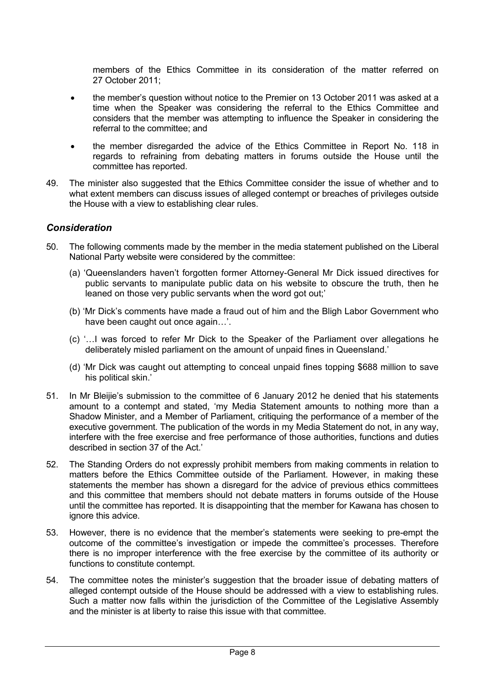members of the Ethics Committee in its consideration of the matter referred on 27 October 2011;

- the member's question without notice to the Premier on 13 October 2011 was asked at a time when the Speaker was considering the referral to the Ethics Committee and considers that the member was attempting to influence the Speaker in considering the referral to the committee; and
- the member disregarded the advice of the Ethics Committee in Report No. 118 in regards to refraining from debating matters in forums outside the House until the committee has reported.
- 49. The minister also suggested that the Ethics Committee consider the issue of whether and to what extent members can discuss issues of alleged contempt or breaches of privileges outside the House with a view to establishing clear rules.

### *Consideration*

- 50. The following comments made by the member in the media statement published on the Liberal National Party website were considered by the committee:
	- (a) 'Queenslanders haven't forgotten former Attorney-General Mr Dick issued directives for public servants to manipulate public data on his website to obscure the truth, then he leaned on those very public servants when the word got out;'
	- (b) 'Mr Dick's comments have made a fraud out of him and the Bligh Labor Government who have been caught out once again…'.
	- (c) '…I was forced to refer Mr Dick to the Speaker of the Parliament over allegations he deliberately misled parliament on the amount of unpaid fines in Queensland.'
	- (d) 'Mr Dick was caught out attempting to conceal unpaid fines topping \$688 million to save his political skin.'
- 51. In Mr Bleijie's submission to the committee of 6 January 2012 he denied that his statements amount to a contempt and stated, 'my Media Statement amounts to nothing more than a Shadow Minister, and a Member of Parliament, critiquing the performance of a member of the executive government. The publication of the words in my Media Statement do not, in any way, interfere with the free exercise and free performance of those authorities, functions and duties described in section 37 of the Act.'
- 52. The Standing Orders do not expressly prohibit members from making comments in relation to matters before the Ethics Committee outside of the Parliament. However, in making these statements the member has shown a disregard for the advice of previous ethics committees and this committee that members should not debate matters in forums outside of the House until the committee has reported. It is disappointing that the member for Kawana has chosen to ignore this advice.
- 53. However, there is no evidence that the member's statements were seeking to pre-empt the outcome of the committee's investigation or impede the committee's processes. Therefore there is no improper interference with the free exercise by the committee of its authority or functions to constitute contempt.
- 54. The committee notes the minister's suggestion that the broader issue of debating matters of alleged contempt outside of the House should be addressed with a view to establishing rules. Such a matter now falls within the jurisdiction of the Committee of the Legislative Assembly and the minister is at liberty to raise this issue with that committee.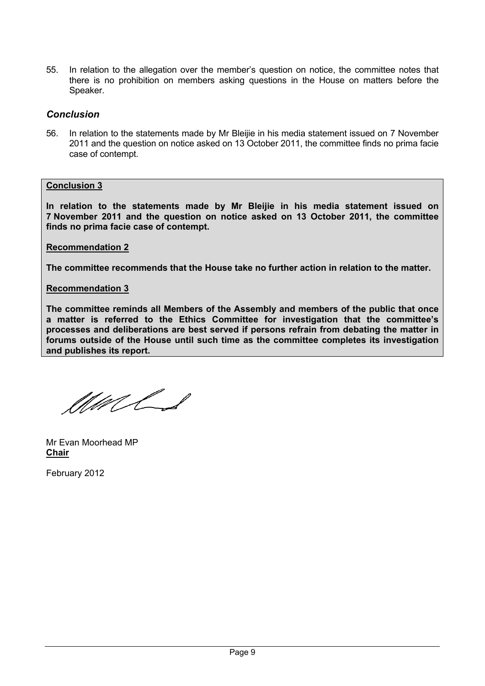55. In relation to the allegation over the member's question on notice, the committee notes that there is no prohibition on members asking questions in the House on matters before the Speaker.

### *Conclusion*

56. In relation to the statements made by Mr Bleijie in his media statement issued on 7 November 2011 and the question on notice asked on 13 October 2011, the committee finds no prima facie case of contempt.

#### **Conclusion 3**

**In relation to the statements made by Mr Bleijie in his media statement issued on 7 November 2011 and the question on notice asked on 13 October 2011, the committee finds no prima facie case of contempt.** 

**Recommendation 2**

**The committee recommends that the House take no further action in relation to the matter.** 

### **Recommendation 3**

**The committee reminds all Members of the Assembly and members of the public that once a matter is referred to the Ethics Committee for investigation that the committee's processes and deliberations are best served if persons refrain from debating the matter in forums outside of the House until such time as the committee completes its investigation and publishes its report.** 

MMLS

Mr Evan Moorhead MP **Chair**

February 2012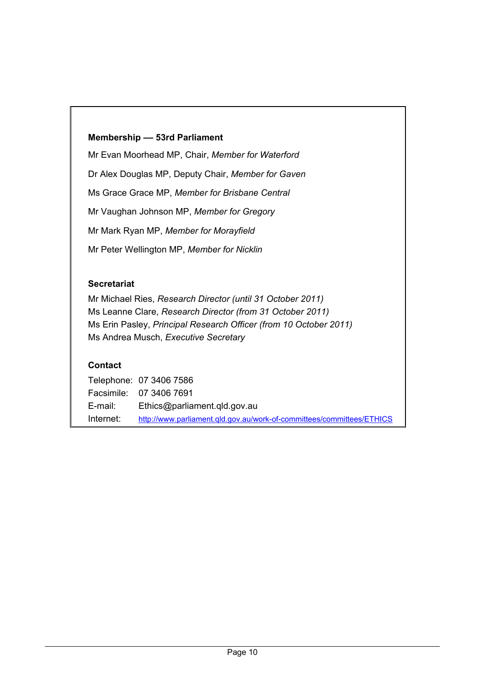## **Membership –– 53rd Parliament**

Mr Evan Moorhead MP, Chair, *Member for Waterford* Dr Alex Douglas MP, Deputy Chair, *Member for Gaven*  Ms Grace Grace MP, *Member for Brisbane Central*  Mr Vaughan Johnson MP, *Member for Gregory* Mr Mark Ryan MP, *Member for Morayfield* Mr Peter Wellington MP, *Member for Nicklin* 

## **Secretariat**

Mr Michael Ries, *Research Director (until 31 October 2011)* Ms Leanne Clare, *Research Director (from 31 October 2011)* Ms Erin Pasley, *Principal Research Officer (from 10 October 2011)* Ms Andrea Musch, *Executive Secretary*

## **Contact**

Telephone: 07 3406 7586 Facsimile: 07 3406 7691 E-mail: Ethics@parliament.qld.gov.au Internet: <http://www.parliament.qld.gov.au/work-of-committees/committees/ETHICS>